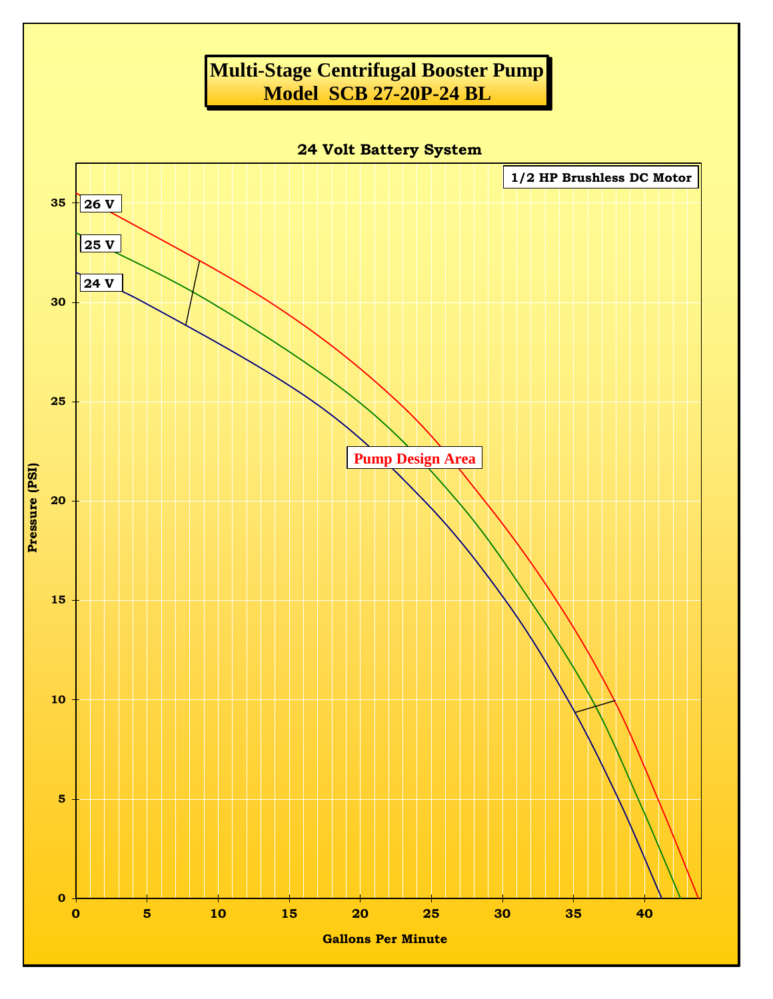## **Multi-Stage Centrifugal Booster Pump Model SCB 27-20P-24 BL**

**24 Volt Battery System**